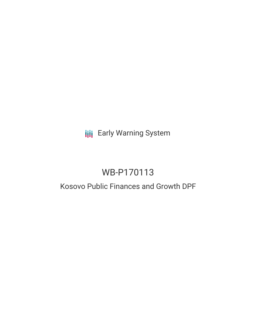**III** Early Warning System

# WB-P170113

## Kosovo Public Finances and Growth DPF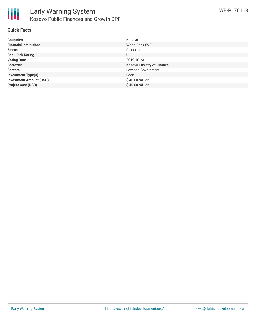

#### **Quick Facts**

| <b>Countries</b>               | Kosovo                     |
|--------------------------------|----------------------------|
| <b>Financial Institutions</b>  | World Bank (WB)            |
| <b>Status</b>                  | Proposed                   |
| <b>Bank Risk Rating</b>        | U                          |
| <b>Voting Date</b>             | 2019-10-23                 |
| <b>Borrower</b>                | Kosovo Ministry of Finance |
| <b>Sectors</b>                 | Law and Government         |
| <b>Investment Type(s)</b>      | Loan                       |
| <b>Investment Amount (USD)</b> | \$40.00 million            |
| <b>Project Cost (USD)</b>      | \$40.00 million            |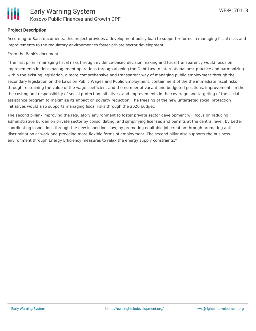

#### **Project Description**

According to Bank documents, this project provides a development policy loan to support reforms in managing fiscal risks and improvements to the regulatory environment to foster private sector development.

From the Bank's document:

"The first pillar - managing fiscal risks through evidence-based decision making and fiscal transparency would focus on improvements in debt management operations through aligning the Debt Law to international best practice and harmonizing within the existing legislation, a more comprehensive and transparent way of managing public employment through the secondary legislation on the Laws on Public Wages and Public Employment, containment of the the immediate fiscal risks through restraining the value of the wage coefficient and the number of vacant and budgeted positions, improvements in the the costing and responsibility of social protection initiatives, and improvements in the coverage and targeting of the social assistance program to maximize its impact on poverty reduction. The freezing of the new untargeted social protection initiatives would also supports managing fiscal risks through the 2020 budget.

The second pillar - improving the regulatory environment to foster private sector development will focus on reducing administrative burden on private sector by consolidating, and simplifying licenses and permits at the central level, by better coordinating inspections through the new inspections law, by promoting equitable job creation through promoting antidiscrimination at work and providing more flexible forms of employment. The second pillar also supports the business environment through Energy Efficiency measures to relax the energy supply constraints."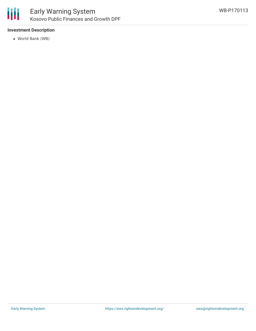

#### **Investment Description**

World Bank (WB)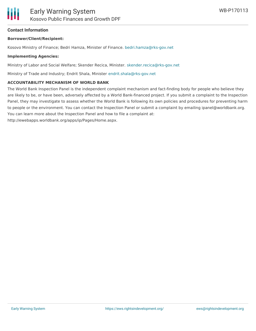#### **Contact Information**

#### **Borrower/Client/Recipient:**

Kosovo Ministry of Finance; Bedri Hamza, Minister of Finance. [bedri.hamza@rks-gov.net](mailto:bedri.hamza@rks-gov.net)

#### **Implementing Agencies:**

Ministry of Labor and Social Welfare; Skender Recica, Minister. [skender.recica@rks-gov.net](mailto:skender.recica@rks-gov.net)

Ministry of Trade and Industry; Endrit Shala, Minister [endrit.shala@rks-gov.net](mailto:endrit.shala@rks-gov.net)

#### **ACCOUNTABILITY MECHANISM OF WORLD BANK**

The World Bank Inspection Panel is the independent complaint mechanism and fact-finding body for people who believe they are likely to be, or have been, adversely affected by a World Bank-financed project. If you submit a complaint to the Inspection Panel, they may investigate to assess whether the World Bank is following its own policies and procedures for preventing harm to people or the environment. You can contact the Inspection Panel or submit a complaint by emailing ipanel@worldbank.org. You can learn more about the Inspection Panel and how to file a complaint at:

http://ewebapps.worldbank.org/apps/ip/Pages/Home.aspx.